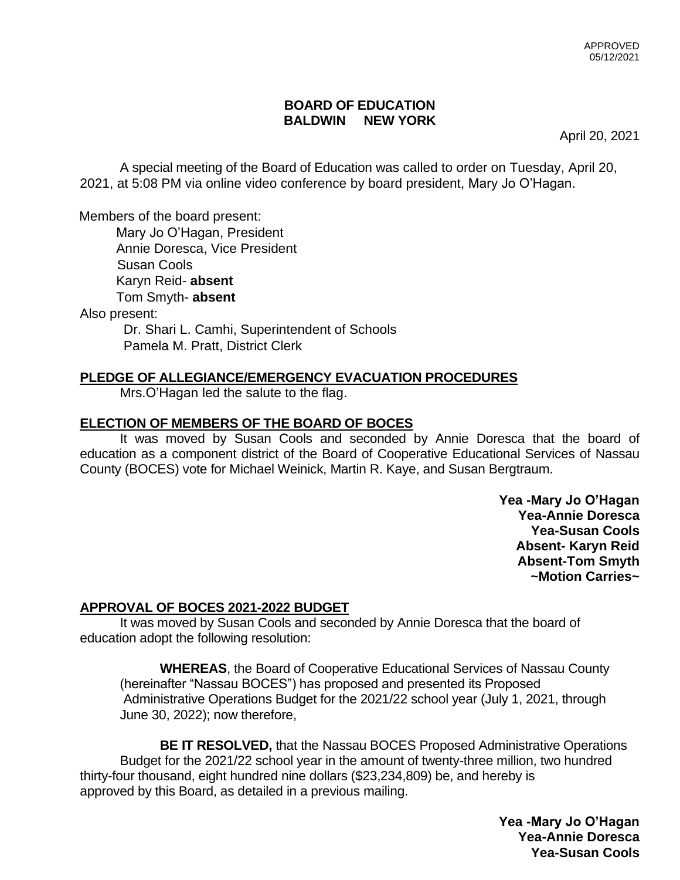# **BOARD OF EDUCATION BALDWIN NEW YORK**

April 20, 2021

A special meeting of the Board of Education was called to order on Tuesday, April 20, 2021, at 5:08 PM via online video conference by board president, Mary Jo O'Hagan.

Members of the board present:

 Mary Jo O'Hagan, President Annie Doresca, Vice President Susan Cools Karyn Reid- **absent** Tom Smyth- **absent**

Also present:

Dr. Shari L. Camhi, Superintendent of Schools Pamela M. Pratt, District Clerk

# **PLEDGE OF ALLEGIANCE/EMERGENCY EVACUATION PROCEDURES**

Mrs.O'Hagan led the salute to the flag.

# **ELECTION OF MEMBERS OF THE BOARD OF BOCES**

It was moved by Susan Cools and seconded by Annie Doresca that the board of education as a component district of the Board of Cooperative Educational Services of Nassau County (BOCES) vote for Michael Weinick, Martin R. Kaye, and Susan Bergtraum.

> **Yea -Mary Jo O'Hagan Yea-Annie Doresca Yea-Susan Cools Absent- Karyn Reid Absent-Tom Smyth ~Motion Carries~**

# **APPROVAL OF BOCES 2021-2022 BUDGET**

It was moved by Susan Cools and seconded by Annie Doresca that the board of education adopt the following resolution:

**WHEREAS**, the Board of Cooperative Educational Services of Nassau County (hereinafter "Nassau BOCES") has proposed and presented its Proposed Administrative Operations Budget for the 2021/22 school year (July 1, 2021, through June 30, 2022); now therefore,

 **BE IT RESOLVED,** that the Nassau BOCES Proposed Administrative Operations Budget for the 2021/22 school year in the amount of twenty-three million, two hundred thirty-four thousand, eight hundred nine dollars (\$23,234,809) be, and hereby is approved by this Board, as detailed in a previous mailing.

> **Yea -Mary Jo O'Hagan Yea-Annie Doresca Yea-Susan Cools**